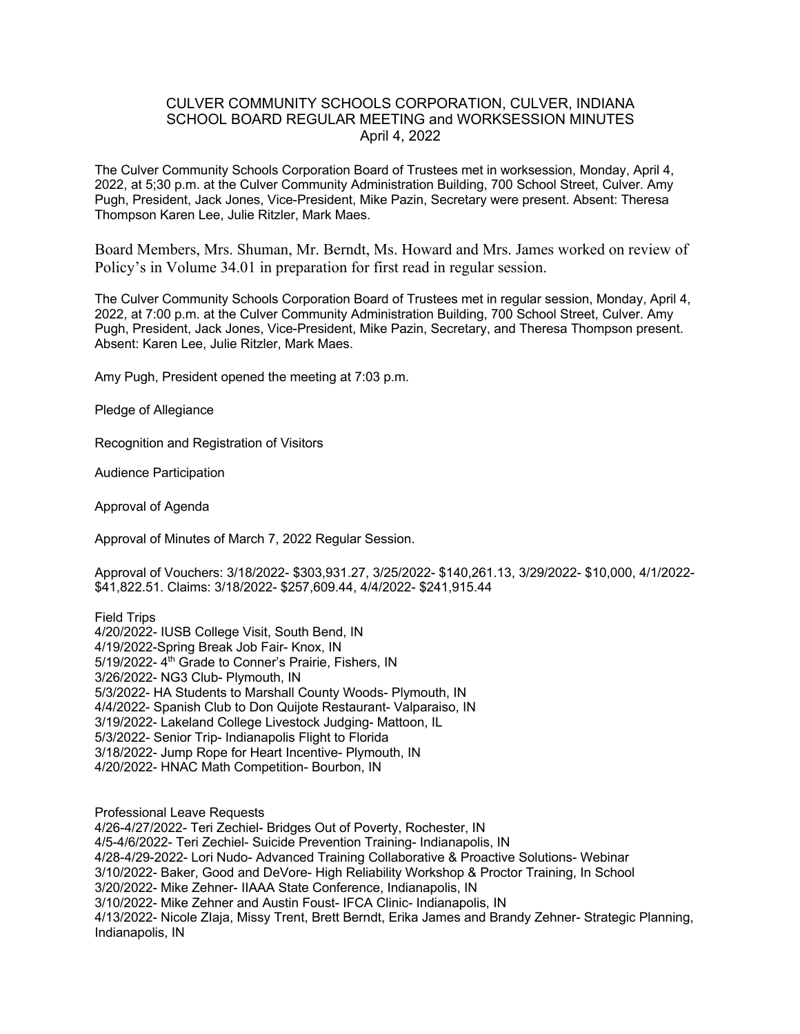## CULVER COMMUNITY SCHOOLS CORPORATION, CULVER, INDIANA SCHOOL BOARD REGULAR MEETING and WORKSESSION MINUTES April 4, 2022

The Culver Community Schools Corporation Board of Trustees met in worksession, Monday, April 4, 2022, at 5;30 p.m. at the Culver Community Administration Building, 700 School Street, Culver. Amy Pugh, President, Jack Jones, Vice-President, Mike Pazin, Secretary were present. Absent: Theresa Thompson Karen Lee, Julie Ritzler, Mark Maes.

Board Members, Mrs. Shuman, Mr. Berndt, Ms. Howard and Mrs. James worked on review of Policy's in Volume 34.01 in preparation for first read in regular session.

The Culver Community Schools Corporation Board of Trustees met in regular session, Monday, April 4, 2022, at 7:00 p.m. at the Culver Community Administration Building, 700 School Street, Culver. Amy Pugh, President, Jack Jones, Vice-President, Mike Pazin, Secretary, and Theresa Thompson present. Absent: Karen Lee, Julie Ritzler, Mark Maes.

Amy Pugh, President opened the meeting at 7:03 p.m.

Pledge of Allegiance

Recognition and Registration of Visitors

Audience Participation

Approval of Agenda

Approval of Minutes of March 7, 2022 Regular Session.

Approval of Vouchers: 3/18/2022- \$303,931.27, 3/25/2022- \$140,261.13, 3/29/2022- \$10,000, 4/1/2022- \$41,822.51. Claims: 3/18/2022- \$257,609.44, 4/4/2022- \$241,915.44

Field Trips 4/20/2022- IUSB College Visit, South Bend, IN 4/19/2022-Spring Break Job Fair- Knox, IN 5/19/2022- 4<sup>th</sup> Grade to Conner's Prairie, Fishers, IN 3/26/2022- NG3 Club- Plymouth, IN 5/3/2022- HA Students to Marshall County Woods- Plymouth, IN 4/4/2022- Spanish Club to Don Quijote Restaurant- Valparaiso, IN 3/19/2022- Lakeland College Livestock Judging- Mattoon, IL 5/3/2022- Senior Trip- Indianapolis Flight to Florida 3/18/2022- Jump Rope for Heart Incentive- Plymouth, IN 4/20/2022- HNAC Math Competition- Bourbon, IN

Professional Leave Requests

4/26-4/27/2022- Teri Zechiel- Bridges Out of Poverty, Rochester, IN 4/5-4/6/2022- Teri Zechiel- Suicide Prevention Training- Indianapolis, IN 4/28-4/29-2022- Lori Nudo- Advanced Training Collaborative & Proactive Solutions- Webinar 3/10/2022- Baker, Good and DeVore- High Reliability Workshop & Proctor Training, In School 3/20/2022- Mike Zehner- IIAAA State Conference, Indianapolis, IN 3/10/2022- Mike Zehner and Austin Foust- IFCA Clinic- Indianapolis, IN 4/13/2022- Nicole ZIaja, Missy Trent, Brett Berndt, Erika James and Brandy Zehner- Strategic Planning, Indianapolis, IN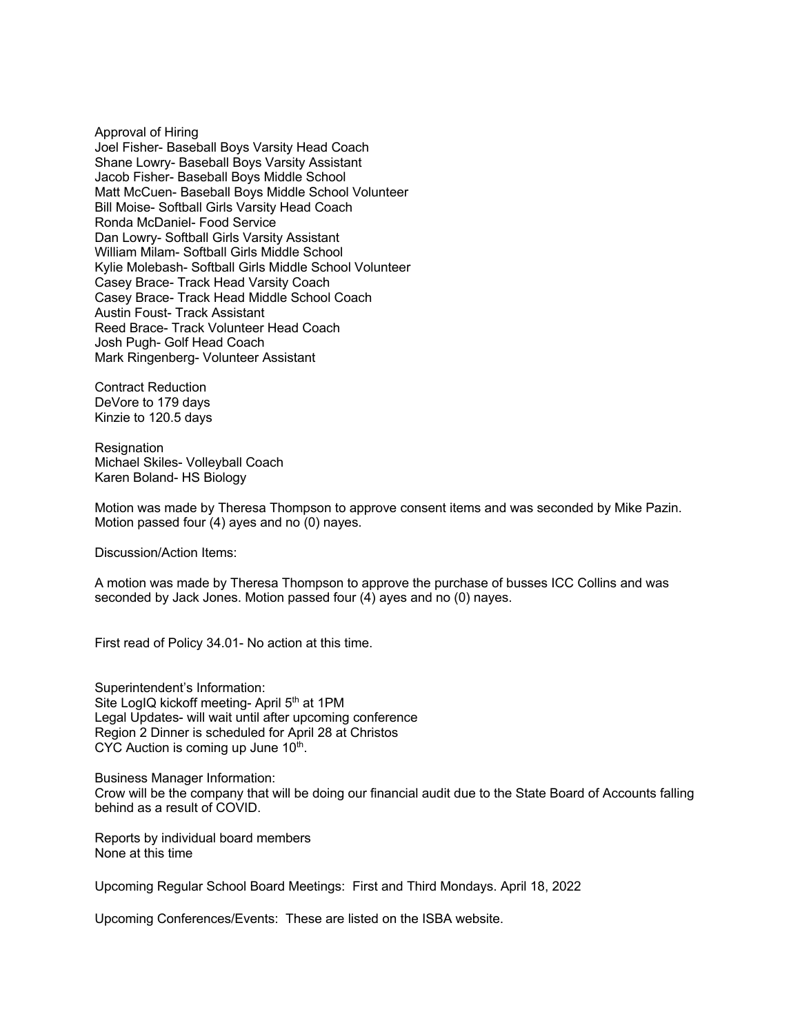Approval of Hiring Joel Fisher- Baseball Boys Varsity Head Coach Shane Lowry- Baseball Boys Varsity Assistant Jacob Fisher- Baseball Boys Middle School Matt McCuen- Baseball Boys Middle School Volunteer Bill Moise- Softball Girls Varsity Head Coach Ronda McDaniel- Food Service Dan Lowry- Softball Girls Varsity Assistant William Milam- Softball Girls Middle School Kylie Molebash- Softball Girls Middle School Volunteer Casey Brace- Track Head Varsity Coach Casey Brace- Track Head Middle School Coach Austin Foust- Track Assistant Reed Brace- Track Volunteer Head Coach Josh Pugh- Golf Head Coach Mark Ringenberg- Volunteer Assistant

Contract Reduction DeVore to 179 days Kinzie to 120.5 days

Resignation Michael Skiles- Volleyball Coach Karen Boland- HS Biology

Motion was made by Theresa Thompson to approve consent items and was seconded by Mike Pazin. Motion passed four (4) ayes and no (0) nayes.

Discussion/Action Items:

A motion was made by Theresa Thompson to approve the purchase of busses ICC Collins and was seconded by Jack Jones. Motion passed four (4) ayes and no (0) nayes.

First read of Policy 34.01- No action at this time.

Superintendent's Information: Site LogIQ kickoff meeting- April 5<sup>th</sup> at 1PM Legal Updates- will wait until after upcoming conference Region 2 Dinner is scheduled for April 28 at Christos CYC Auction is coming up June  $10<sup>th</sup>$ .

Business Manager Information: Crow will be the company that will be doing our financial audit due to the State Board of Accounts falling behind as a result of COVID.

Reports by individual board members None at this time

Upcoming Regular School Board Meetings: First and Third Mondays. April 18, 2022

Upcoming Conferences/Events: These are listed on the ISBA website.